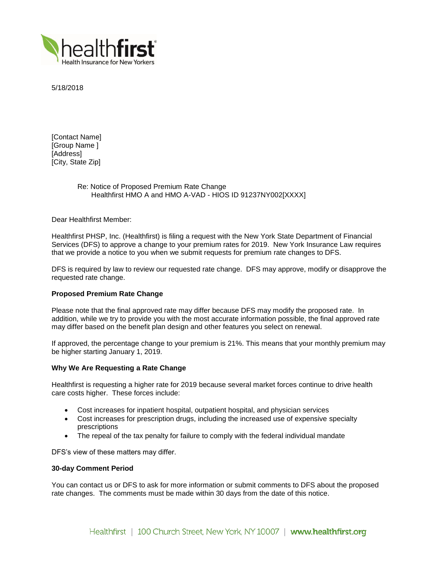

5/18/2018

[Contact Name] [Group Name ] [Address] [City, State Zip]

# Re: Notice of Proposed Premium Rate Change Healthfirst HMO A and HMO A-VAD - HIOS ID 91237NY002[XXXX]

Dear Healthfirst Member:

Healthfirst PHSP, Inc. (Healthfirst) is filing a request with the New York State Department of Financial Services (DFS) to approve a change to your premium rates for 2019. New York Insurance Law requires that we provide a notice to you when we submit requests for premium rate changes to DFS.

DFS is required by law to review our requested rate change. DFS may approve, modify or disapprove the requested rate change.

## **Proposed Premium Rate Change**

Please note that the final approved rate may differ because DFS may modify the proposed rate. In addition, while we try to provide you with the most accurate information possible, the final approved rate may differ based on the benefit plan design and other features you select on renewal.

If approved, the percentage change to your premium is 21%. This means that your monthly premium may be higher starting January 1, 2019.

#### **Why We Are Requesting a Rate Change**

Healthfirst is requesting a higher rate for 2019 because several market forces continue to drive health care costs higher. These forces include:

- Cost increases for inpatient hospital, outpatient hospital, and physician services
- Cost increases for prescription drugs, including the increased use of expensive specialty prescriptions
- The repeal of the tax penalty for failure to comply with the federal individual mandate

DFS's view of these matters may differ.

#### **30-day Comment Period**

You can contact us or DFS to ask for more information or submit comments to DFS about the proposed rate changes. The comments must be made within 30 days from the date of this notice.